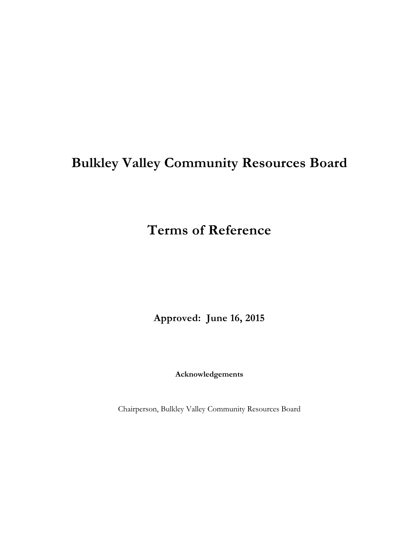# **Bulkley Valley Community Resources Board**

## **Terms of Reference**

**Approved: June 16, 2015**

**Acknowledgements**

Chairperson, Bulkley Valley Community Resources Board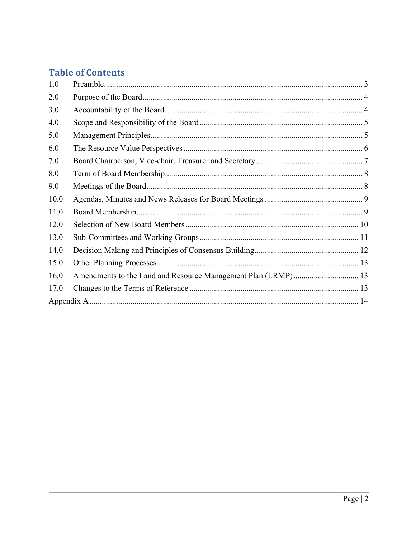## **Table of Contents**

| 1.0  |                                                               |  |
|------|---------------------------------------------------------------|--|
| 2.0  |                                                               |  |
| 3.0  |                                                               |  |
| 4.0  |                                                               |  |
| 5.0  |                                                               |  |
| 6.0  |                                                               |  |
| 7.0  |                                                               |  |
| 8.0  |                                                               |  |
| 9.0  |                                                               |  |
| 10.0 |                                                               |  |
| 11.0 |                                                               |  |
| 12.0 |                                                               |  |
| 13.0 |                                                               |  |
| 14.0 |                                                               |  |
| 15.0 |                                                               |  |
| 16.0 | Amendments to the Land and Resource Management Plan (LRMP) 13 |  |
| 17.0 |                                                               |  |
|      |                                                               |  |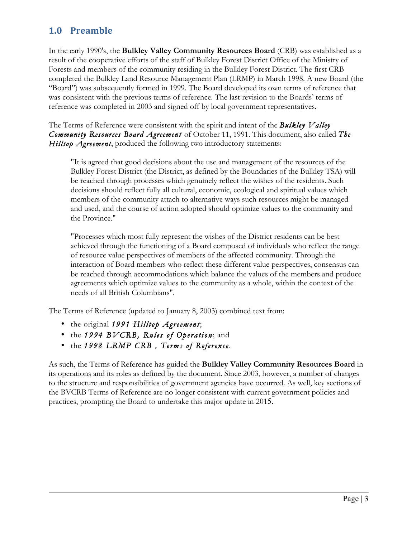## **1.0 Preamble**

In the early 1990's, the **Bulkley Valley Community Resources Board** (CRB) was established as a result of the cooperative efforts of the staff of Bulkley Forest District Office of the Ministry of Forests and members of the community residing in the Bulkley Forest District. The first CRB completed the Bulkley Land Resource Management Plan (LRMP) in March 1998. A new Board (the "Board") was subsequently formed in 1999. The Board developed its own terms of reference that was consistent with the previous terms of reference. The last revision to the Boards' terms of reference was completed in 2003 and signed off by local government representatives.

The Terms of Reference were consistent with the spirit and intent of the *Bulkley Valley Community Resources Board Agreement* of October 11, 1991. This document, also called *The Hilltop Agreement*, produced the following two introductory statements:

"It is agreed that good decisions about the use and management of the resources of the Bulkley Forest District (the District, as defined by the Boundaries of the Bulkley TSA) will be reached through processes which genuinely reflect the wishes of the residents. Such decisions should reflect fully all cultural, economic, ecological and spiritual values which members of the community attach to alternative ways such resources might be managed and used, and the course of action adopted should optimize values to the community and the Province."

"Processes which most fully represent the wishes of the District residents can be best achieved through the functioning of a Board composed of individuals who reflect the range of resource value perspectives of members of the affected community. Through the interaction of Board members who reflect these different value perspectives, consensus can be reached through accommodations which balance the values of the members and produce agreements which optimize values to the community as a whole, within the context of the needs of all British Columbians".

The Terms of Reference (updated to January 8, 2003) combined text from:

- the original *1991 Hilltop Agreement*;
- the 1994 BVCRB, Rules of Operation; and
- the *1998 LRMP CRB , Terms of Reference*.

As such, the Terms of Reference has guided the **Bulkley Valley Community Resources Board** in its operations and its roles as defined by the document. Since 2003, however, a number of changes to the structure and responsibilities of government agencies have occurred. As well, key sections of the BVCRB Terms of Reference are no longer consistent with current government policies and practices, prompting the Board to undertake this major update in 2015.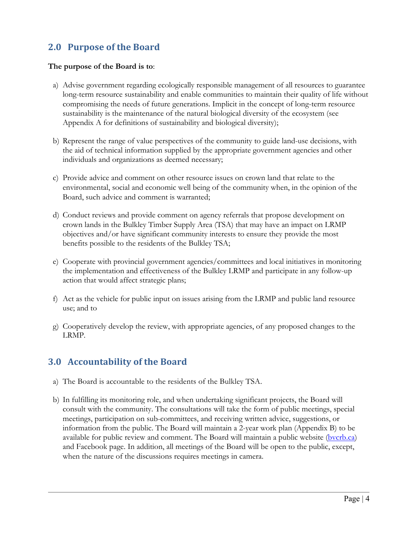## **2.0 Purpose of the Board**

#### **The purpose of the Board is to**:

- a) Advise government regarding ecologically responsible management of all resources to guarantee long-term resource sustainability and enable communities to maintain their quality of life without compromising the needs of future generations. Implicit in the concept of long-term resource sustainability is the maintenance of the natural biological diversity of the ecosystem (see Appendix A for definitions of sustainability and biological diversity);
- b) Represent the range of value perspectives of the community to guide land-use decisions, with the aid of technical information supplied by the appropriate government agencies and other individuals and organizations as deemed necessary;
- c) Provide advice and comment on other resource issues on crown land that relate to the environmental, social and economic well being of the community when, in the opinion of the Board, such advice and comment is warranted;
- d) Conduct reviews and provide comment on agency referrals that propose development on crown lands in the Bulkley Timber Supply Area (TSA) that may have an impact on LRMP objectives and/or have significant community interests to ensure they provide the most benefits possible to the residents of the Bulkley TSA;
- e) Cooperate with provincial government agencies/committees and local initiatives in monitoring the implementation and effectiveness of the Bulkley LRMP and participate in any follow-up action that would affect strategic plans;
- f) Act as the vehicle for public input on issues arising from the LRMP and public land resource use; and to
- g) Cooperatively develop the review, with appropriate agencies, of any proposed changes to the LRMP.

#### **3.0 Accountability of the Board**

- a) The Board is accountable to the residents of the Bulkley TSA.
- b) In fulfilling its monitoring role, and when undertaking significant projects, the Board will consult with the community. The consultations will take the form of public meetings, special meetings, participation on sub-committees, and receiving written advice, suggestions, or information from the public. The Board will maintain a 2-year work plan (Appendix B) to be available for public review and comment. The Board will maintain a public website (bvcrb.ca) and Facebook page. In addition, all meetings of the Board will be open to the public, except, when the nature of the discussions requires meetings in camera.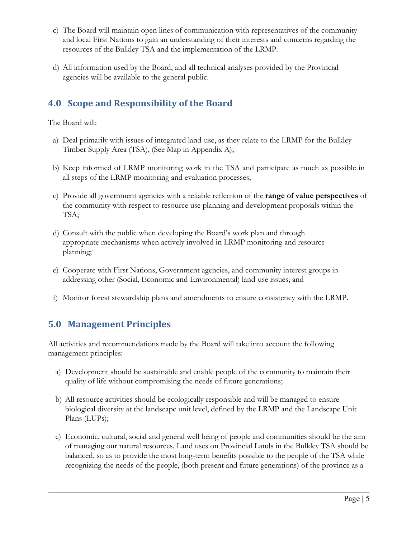- c) The Board will maintain open lines of communication with representatives of the community and local First Nations to gain an understanding of their interests and concerns regarding the resources of the Bulkley TSA and the implementation of the LRMP.
- d) All information used by the Board, and all technical analyses provided by the Provincial agencies will be available to the general public.

## **4.0 Scope and Responsibility of the Board**

The Board will:

- a) Deal primarily with issues of integrated land-use, as they relate to the LRMP for the Bulkley Timber Supply Area (TSA), (See Map in Appendix A);
- b) Keep informed of LRMP monitoring work in the TSA and participate as much as possible in all steps of the LRMP monitoring and evaluation processes;
- c) Provide all government agencies with a reliable reflection of the **range of value perspectives** of the community with respect to resource use planning and development proposals within the TSA;
- d) Consult with the public when developing the Board's work plan and through appropriate mechanisms when actively involved in LRMP monitoring and resource planning;
- e) Cooperate with First Nations, Government agencies, and community interest groups in addressing other (Social, Economic and Environmental) land-use issues; and
- f) Monitor forest stewardship plans and amendments to ensure consistency with the LRMP.

## **5.0 Management Principles**

All activities and recommendations made by the Board will take into account the following management principles:

- a) Development should be sustainable and enable people of the community to maintain their quality of life without compromising the needs of future generations;
- b) All resource activities should be ecologically responsible and will be managed to ensure biological diversity at the landscape unit level, defined by the LRMP and the Landscape Unit Plans (LUPs);
- c) Economic, cultural, social and general well being of people and communities should be the aim of managing our natural resources. Land uses on Provincial Lands in the Bulkley TSA should be balanced, so as to provide the most long-term benefits possible to the people of the TSA while recognizing the needs of the people, (both present and future generations) of the province as a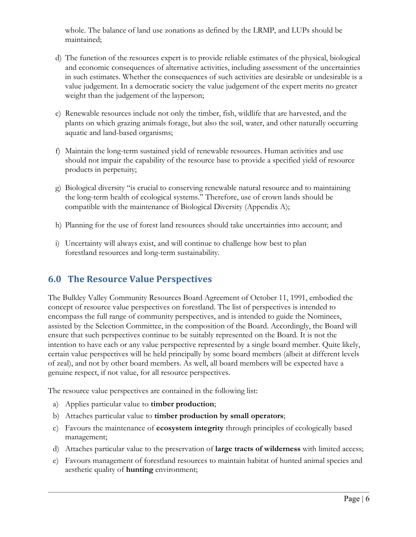whole. The balance of land use zonations as defined by the LRMP, and LUPs should be maintained;

- d) The function of the resources expert is to provide reliable estimates of the physical, biological and economic consequences of alternative activities, including assessment of the uncertainties in such estimates. Whether the consequences of such activities are desirable or undesirable is a value judgement. In a democratic society the value judgement of the expert merits no greater weight than the judgement of the layperson;
- e) Renewable resources include not only the timber, fish, wildlife that are harvested, and the plants on which grazing animals forage, but also the soil, water, and other naturally occurring aquatic and land-based organisms;
- f) Maintain the long-term sustained yield of renewable resources. Human activities and use should not impair the capability of the resource base to provide a specified yield of resource products in perpetuity;
- g) Biological diversity "is crucial to conserving renewable natural resource and to maintaining the long-term health of ecological systems." Therefore, use of crown lands should be compatible with the maintenance of Biological Diversity (Appendix A);
- h) Planning for the use of forest land resources should take uncertainties into account; and
- i) Uncertainty will always exist, and will continue to challenge how best to plan forestland resources and long-term sustainability.

#### **6.0 The Resource Value Perspectives**

The Bulkley Valley Community Resources Board Agreement of October 11, 1991, embodied the concept of resource value perspectives on forestland. The list of perspectives is intended to encompass the full range of community perspectives, and is intended to guide the Nominees, assisted by the Selection Committee, in the composition of the Board. Accordingly, the Board will ensure that such perspectives continue to be suitably represented on the Board. It is not the intention to have each or any value perspective represented by a single board member. Quite likely, certain value perspectives will be held principally by some board members (albeit at different levels of zeal), and not by other board members. As well, all board members will be expected have a genuine respect, if not value, for all resource perspectives.

The resource value perspectives are contained in the following list:

- a) Applies particular value to **timber production**;
- b) Attaches particular value to **timber production by small operators**;
- c) Favours the maintenance of **ecosystem integrity** through principles of ecologically based management;
- d) Attaches particular value to the preservation of **large tracts of wilderness** with limited access;
- e) Favours management of forestland resources to maintain habitat of hunted animal species and aesthetic quality of **hunting** environment;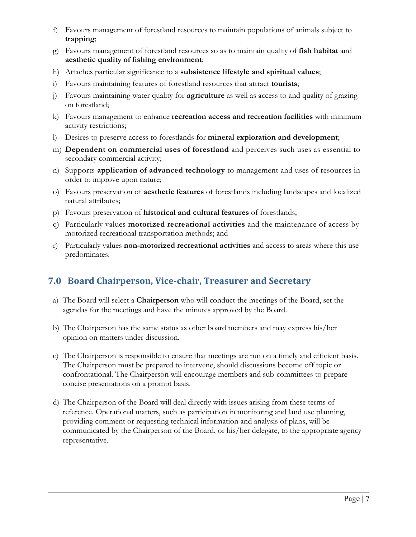- f) Favours management of forestland resources to maintain populations of animals subject to **trapping**;
- g) Favours management of forestland resources so as to maintain quality of **fish habitat** and **aesthetic quality of fishing environment**;
- h) Attaches particular significance to a **subsistence lifestyle and spiritual values**;
- i) Favours maintaining features of forestland resources that attract **tourists**;
- j) Favours maintaining water quality for **agriculture** as well as access to and quality of grazing on forestland;
- k) Favours management to enhance **recreation access and recreation facilities** with minimum activity restrictions;
- l) Desires to preserve access to forestlands for **mineral exploration and development**;
- m) **Dependent on commercial uses of forestland** and perceives such uses as essential to secondary commercial activity;
- n) Supports **application of advanced technology** to management and uses of resources in order to improve upon nature;
- o) Favours preservation of **aesthetic features** of forestlands including landscapes and localized natural attributes;
- p) Favours preservation of **historical and cultural features** of forestlands;
- q) Particularly values **motorized recreational activities** and the maintenance of access by motorized recreational transportation methods; and
- r) Particularly values **non-motorized recreational activities** and access to areas where this use predominates.

## **7.0 Board Chairperson, Vice-chair, Treasurer and Secretary**

- a) The Board will select a **Chairperson** who will conduct the meetings of the Board, set the agendas for the meetings and have the minutes approved by the Board.
- b) The Chairperson has the same status as other board members and may express his/her opinion on matters under discussion.
- c) The Chairperson is responsible to ensure that meetings are run on a timely and efficient basis. The Chairperson must be prepared to intervene, should discussions become off topic or confrontational. The Chairperson will encourage members and sub-committees to prepare concise presentations on a prompt basis.
- d) The Chairperson of the Board will deal directly with issues arising from these terms of reference. Operational matters, such as participation in monitoring and land use planning, providing comment or requesting technical information and analysis of plans, will be communicated by the Chairperson of the Board, or his/her delegate, to the appropriate agency representative.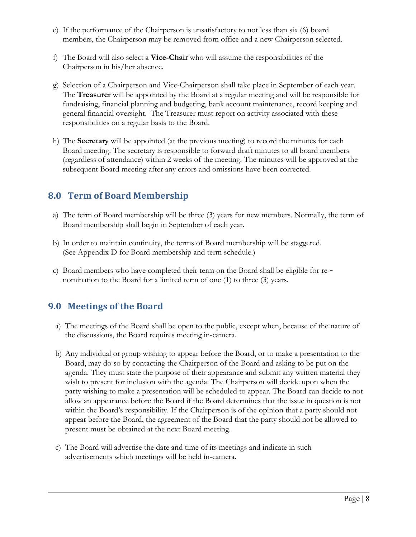- e) If the performance of the Chairperson is unsatisfactory to not less than six (6) board members, the Chairperson may be removed from office and a new Chairperson selected.
- f) The Board will also select a **Vice-Chair** who will assume the responsibilities of the Chairperson in his/her absence.
- g) Selection of a Chairperson and Vice-Chairperson shall take place in September of each year. The **Treasurer** will be appointed by the Board at a regular meeting and will be responsible for fundraising, financial planning and budgeting, bank account maintenance, record keeping and general financial oversight. The Treasurer must report on activity associated with these responsibilities on a regular basis to the Board.
- h) The **Secretary** will be appointed (at the previous meeting) to record the minutes for each Board meeting. The secretary is responsible to forward draft minutes to all board members (regardless of attendance) within 2 weeks of the meeting. The minutes will be approved at the subsequent Board meeting after any errors and omissions have been corrected.

#### **8.0 Term of Board Membership**

- a) The term of Board membership will be three (3) years for new members. Normally, the term of Board membership shall begin in September of each year.
- b) In order to maintain continuity, the terms of Board membership will be staggered. (See Appendix D for Board membership and term schedule.)
- c) Board members who have completed their term on the Board shall be eligible for re- nomination to the Board for a limited term of one (1) to three (3) years.

#### **9.0 Meetings of the Board**

- a) The meetings of the Board shall be open to the public, except when, because of the nature of the discussions, the Board requires meeting in-camera.
- b) Any individual or group wishing to appear before the Board, or to make a presentation to the Board, may do so by contacting the Chairperson of the Board and asking to be put on the agenda. They must state the purpose of their appearance and submit any written material they wish to present for inclusion with the agenda. The Chairperson will decide upon when the party wishing to make a presentation will be scheduled to appear. The Board can decide to not allow an appearance before the Board if the Board determines that the issue in question is not within the Board's responsibility. If the Chairperson is of the opinion that a party should not appear before the Board, the agreement of the Board that the party should not be allowed to present must be obtained at the next Board meeting.
- c) The Board will advertise the date and time of its meetings and indicate in such advertisements which meetings will be held in-camera.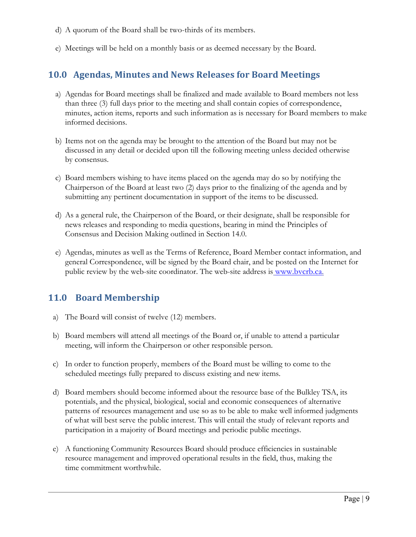- d) A quorum of the Board shall be two-thirds of its members.
- e) Meetings will be held on a monthly basis or as deemed necessary by the Board.

#### **10.0 Agendas, Minutes and News Releases for Board Meetings**

- a) Agendas for Board meetings shall be finalized and made available to Board members not less than three (3) full days prior to the meeting and shall contain copies of correspondence, minutes, action items, reports and such information as is necessary for Board members to make informed decisions.
- b) Items not on the agenda may be brought to the attention of the Board but may not be discussed in any detail or decided upon till the following meeting unless decided otherwise by consensus.
- c) Board members wishing to have items placed on the agenda may do so by notifying the Chairperson of the Board at least two (2) days prior to the finalizing of the agenda and by submitting any pertinent documentation in support of the items to be discussed.
- d) As a general rule, the Chairperson of the Board, or their designate, shall be responsible for news releases and responding to media questions, bearing in mind the Principles of Consensus and Decision Making outlined in Section 14.0.
- e) Agendas, minutes as well as the Terms of Reference, Board Member contact information, and general Correspondence, will be signed by the Board chair, and be posted on the Internet for public review by the web-site coordinator. The web-site address is www.bvcrb.ca.

#### **11.0 Board Membership**

- a) The Board will consist of twelve (12) members.
- b) Board members will attend all meetings of the Board or, if unable to attend a particular meeting, will inform the Chairperson or other responsible person.
- c) In order to function properly, members of the Board must be willing to come to the scheduled meetings fully prepared to discuss existing and new items.
- d) Board members should become informed about the resource base of the Bulkley TSA, its potentials, and the physical, biological, social and economic consequences of alternative patterns of resources management and use so as to be able to make well informed judgments of what will best serve the public interest. This will entail the study of relevant reports and participation in a majority of Board meetings and periodic public meetings.
- e) A functioning Community Resources Board should produce efficiencies in sustainable resource management and improved operational results in the field, thus, making the time commitment worthwhile.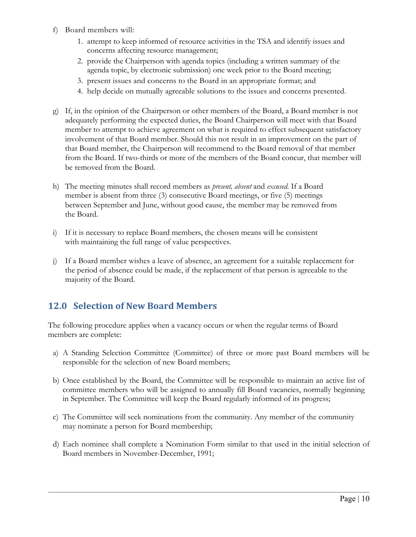- f) Board members will:
	- 1. attempt to keep informed of resource activities in the TSA and identify issues and concerns affecting resource management;
	- 2. provide the Chairperson with agenda topics (including a written summary of the agenda topic, by electronic submission) one week prior to the Board meeting;
	- 3. present issues and concerns to the Board in an appropriate format; and
	- 4. help decide on mutually agreeable solutions to the issues and concerns presented.
- g) If, in the opinion of the Chairperson or other members of the Board, a Board member is not adequately performing the expected duties, the Board Chairperson will meet with that Board member to attempt to achieve agreement on what is required to effect subsequent satisfactory involvement of that Board member. Should this not result in an improvement on the part of that Board member, the Chairperson will recommend to the Board removal of that member from the Board. If two-thirds or more of the members of the Board concur, that member will be removed from the Board.
- h) The meeting minutes shall record members as *present, absent* and *excused.* If a Board member is absent from three (3) consecutive Board meetings, or five (5) meetings between September and June, without good cause, the member may be removed from the Board.
- i) If it is necessary to replace Board members, the chosen means will be consistent with maintaining the full range of value perspectives.
- j) If a Board member wishes a leave of absence, an agreement for a suitable replacement for the period of absence could be made, if the replacement of that person is agreeable to the majority of the Board.

#### **12.0 Selection of New Board Members**

The following procedure applies when a vacancy occurs or when the regular terms of Board members are complete:

- a) A Standing Selection Committee (Committee) of three or more past Board members will be responsible for the selection of new Board members;
- b) Once established by the Board, the Committee will be responsible to maintain an active list of committee members who will be assigned to annually fill Board vacancies, normally beginning in September. The Committee will keep the Board regularly informed of its progress;
- c) The Committee will seek nominations from the community. Any member of the community may nominate a person for Board membership;
- d) Each nominee shall complete a Nomination Form similar to that used in the initial selection of Board members in November-December, 1991;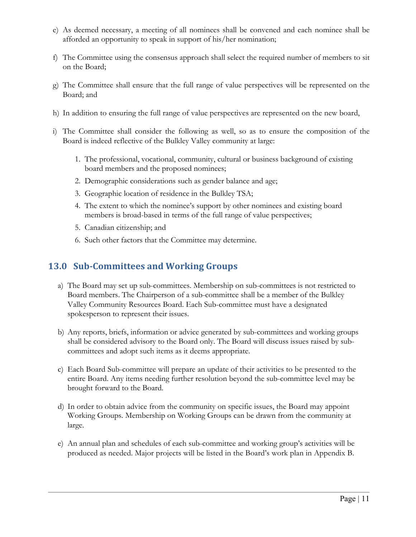- e) As deemed necessary, a meeting of all nominees shall be convened and each nominee shall be afforded an opportunity to speak in support of his/her nomination;
- f) The Committee using the consensus approach shall select the required number of members to sit on the Board;
- g) The Committee shall ensure that the full range of value perspectives will be represented on the Board; and
- h) In addition to ensuring the full range of value perspectives are represented on the new board,
- i) The Committee shall consider the following as well, so as to ensure the composition of the Board is indeed reflective of the Bulkley Valley community at large:
	- 1. The professional, vocational, community, cultural or business background of existing board members and the proposed nominees;
	- 2. Demographic considerations such as gender balance and age;
	- 3. Geographic location of residence in the Bulkley TSA;
	- 4. The extent to which the nominee's support by other nominees and existing board members is broad-based in terms of the full range of value perspectives;
	- 5. Canadian citizenship; and
	- 6. Such other factors that the Committee may determine.

#### **13.0 Sub-Committees and Working Groups**

- a) The Board may set up sub-committees. Membership on sub-committees is not restricted to Board members. The Chairperson of a sub-committee shall be a member of the Bulkley Valley Community Resources Board. Each Sub-committee must have a designated spokesperson to represent their issues.
- b) Any reports, briefs, information or advice generated by sub-committees and working groups shall be considered advisory to the Board only. The Board will discuss issues raised by subcommittees and adopt such items as it deems appropriate.
- c) Each Board Sub-committee will prepare an update of their activities to be presented to the entire Board. Any items needing further resolution beyond the sub-committee level may be brought forward to the Board.
- d) In order to obtain advice from the community on specific issues, the Board may appoint Working Groups. Membership on Working Groups can be drawn from the community at large.
- e) An annual plan and schedules of each sub-committee and working group's activities will be produced as needed. Major projects will be listed in the Board's work plan in Appendix B.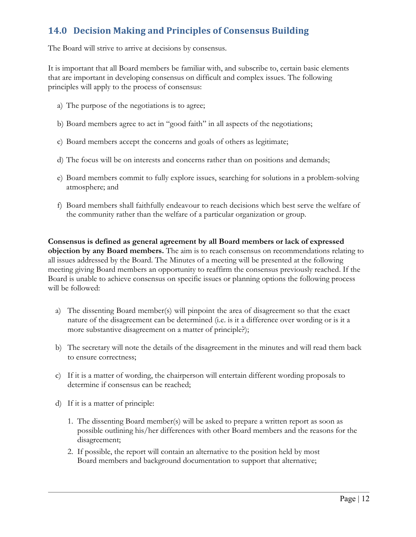## **14.0 Decision Making and Principles of Consensus Building**

The Board will strive to arrive at decisions by consensus.

It is important that all Board members be familiar with, and subscribe to, certain basic elements that are important in developing consensus on difficult and complex issues. The following principles will apply to the process of consensus:

- a) The purpose of the negotiations is to agree;
- b) Board members agree to act in "good faith" in all aspects of the negotiations;
- c) Board members accept the concerns and goals of others as legitimate;
- d) The focus will be on interests and concerns rather than on positions and demands;
- e) Board members commit to fully explore issues, searching for solutions in a problem-solving atmosphere; and
- f) Board members shall faithfully endeavour to reach decisions which best serve the welfare of the community rather than the welfare of a particular organization or group.

**Consensus is defined as general agreement by all Board members or lack of expressed objection by any Board members.** The aim is to reach consensus on recommendations relating to all issues addressed by the Board. The Minutes of a meeting will be presented at the following meeting giving Board members an opportunity to reaffirm the consensus previously reached. If the Board is unable to achieve consensus on specific issues or planning options the following process will be followed:

- a) The dissenting Board member(s) will pinpoint the area of disagreement so that the exact nature of the disagreement can be determined (i.e. is it a difference over wording or is it a more substantive disagreement on a matter of principle?);
- b) The secretary will note the details of the disagreement in the minutes and will read them back to ensure correctness;
- c) If it is a matter of wording, the chairperson will entertain different wording proposals to determine if consensus can be reached;
- d) If it is a matter of principle:
	- 1. The dissenting Board member(s) will be asked to prepare a written report as soon as possible outlining his/her differences with other Board members and the reasons for the disagreement;
	- 2. If possible, the report will contain an alternative to the position held by most Board members and background documentation to support that alternative;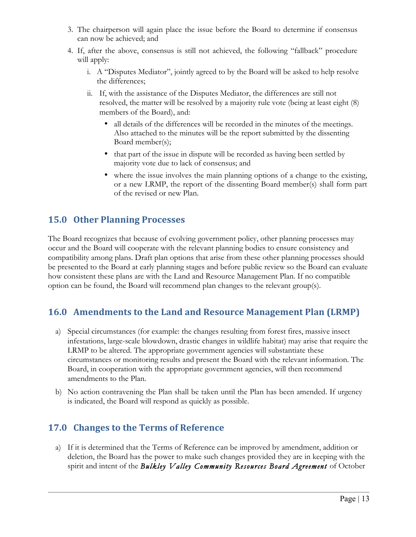- 3. The chairperson will again place the issue before the Board to determine if consensus can now be achieved; and
- 4. If, after the above, consensus is still not achieved, the following "fallback" procedure will apply:
	- i. A "Disputes Mediator", jointly agreed to by the Board will be asked to help resolve the differences;
	- ii. If, with the assistance of the Disputes Mediator, the differences are still not resolved, the matter will be resolved by a majority rule vote (being at least eight (8) members of the Board), and:
		- all details of the differences will be recorded in the minutes of the meetings. Also attached to the minutes will be the report submitted by the dissenting Board member(s);
		- that part of the issue in dispute will be recorded as having been settled by majority vote due to lack of consensus; and
		- where the issue involves the main planning options of a change to the existing, or a new LRMP, the report of the dissenting Board member(s) shall form part of the revised or new Plan.

#### **15.0 Other Planning Processes**

The Board recognizes that because of evolving government policy, other planning processes may occur and the Board will cooperate with the relevant planning bodies to ensure consistency and compatibility among plans. Draft plan options that arise from these other planning processes should be presented to the Board at early planning stages and before public review so the Board can evaluate how consistent these plans are with the Land and Resource Management Plan. If no compatible option can be found, the Board will recommend plan changes to the relevant group(s).

#### 16.0 Amendments to the Land and Resource Management Plan (LRMP)

- a) Special circumstances (for example: the changes resulting from forest fires, massive insect infestations, large-scale blowdown, drastic changes in wildlife habitat) may arise that require the LRMP to be altered. The appropriate government agencies will substantiate these circumstances or monitoring results and present the Board with the relevant information. The Board, in cooperation with the appropriate government agencies, will then recommend amendments to the Plan.
- b) No action contravening the Plan shall be taken until the Plan has been amended. If urgency is indicated, the Board will respond as quickly as possible.

## **17.0 Changes to the Terms of Reference**

a) If it is determined that the Terms of Reference can be improved by amendment, addition or deletion, the Board has the power to make such changes provided they are in keeping with the spirit and intent of the *Bulkley Valley Community Resources Board Agreement* of October